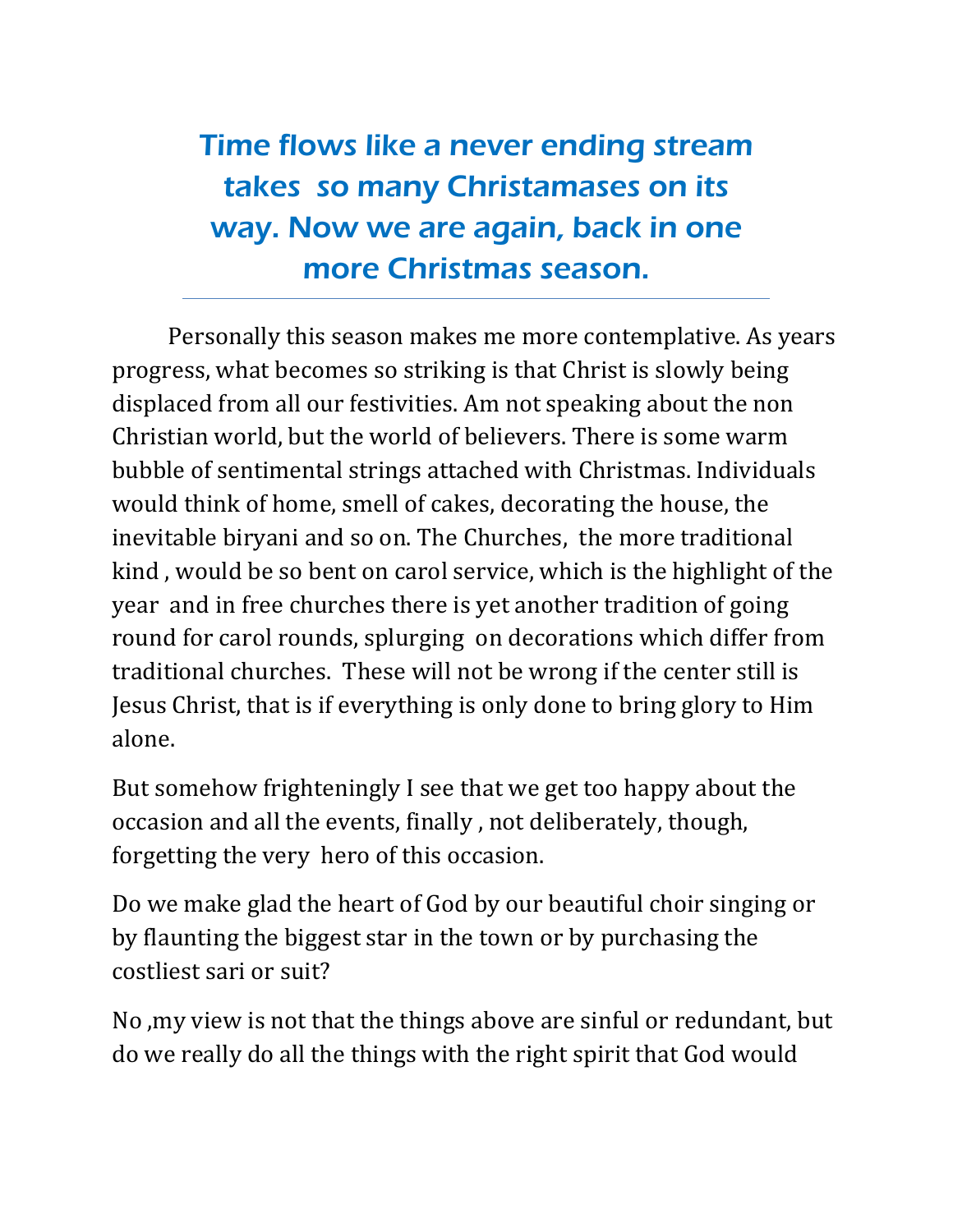Time flows like a never ending stream takes so many Christamases on its way. Now we are again, back in one more Christmas season.

Personally this season makes me more contemplative. As years progress, what becomes so striking is that Christ is slowly being displaced from all our festivities. Am not speaking about the non Christian world, but the world of believers. There is some warm bubble of sentimental strings attached with Christmas. Individuals would think of home, smell of cakes, decorating the house, the inevitable biryani and so on. The Churches, the more traditional kind , would be so bent on carol service, which is the highlight of the year and in free churches there is yet another tradition of going round for carol rounds, splurging on decorations which differ from traditional churches. These will not be wrong if the center still is Jesus Christ, that is if everything is only done to bring glory to Him alone.

But somehow frighteningly I see that we get too happy about the occasion and all the events, finally , not deliberately, though, forgetting the very hero of this occasion.

Do we make glad the heart of God by our beautiful choir singing or by flaunting the biggest star in the town or by purchasing the costliest sari or suit?

No ,my view is not that the things above are sinful or redundant, but do we really do all the things with the right spirit that God would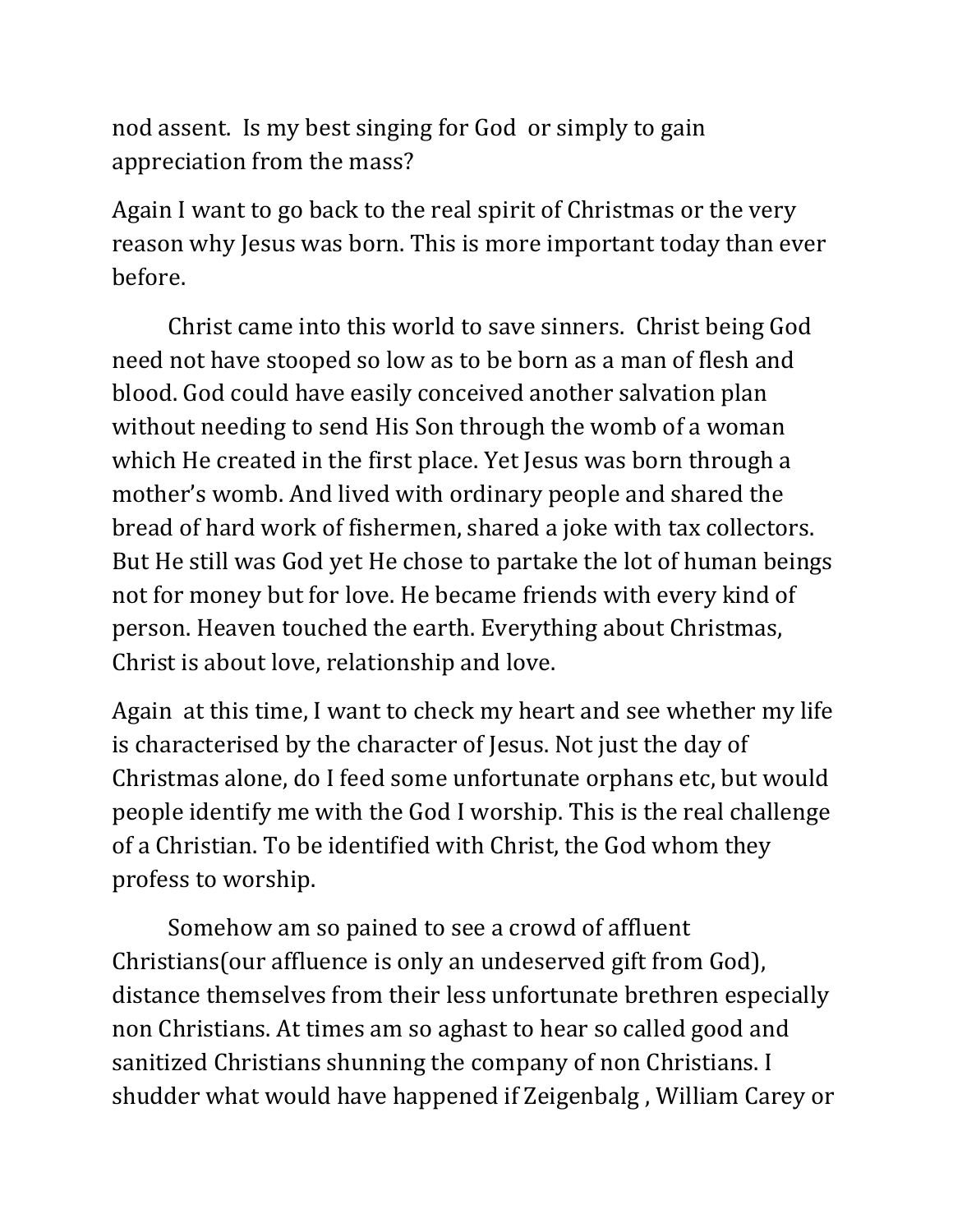nod assent. Is my best singing for God or simply to gain appreciation from the mass?

Again I want to go back to the real spirit of Christmas or the very reason why Jesus was born. This is more important today than ever before.

Christ came into this world to save sinners. Christ being God need not have stooped so low as to be born as a man of flesh and blood. God could have easily conceived another salvation plan without needing to send His Son through the womb of a woman which He created in the first place. Yet Jesus was born through a mother's womb. And lived with ordinary people and shared the bread of hard work of fishermen, shared a joke with tax collectors. But He still was God yet He chose to partake the lot of human beings not for money but for love. He became friends with every kind of person. Heaven touched the earth. Everything about Christmas, Christ is about love, relationship and love.

Again at this time, I want to check my heart and see whether my life is characterised by the character of Jesus. Not just the day of Christmas alone, do I feed some unfortunate orphans etc, but would people identify me with the God I worship. This is the real challenge of a Christian. To be identified with Christ, the God whom they profess to worship.

Somehow am so pained to see a crowd of affluent Christians(our affluence is only an undeserved gift from God), distance themselves from their less unfortunate brethren especially non Christians. At times am so aghast to hear so called good and sanitized Christians shunning the company of non Christians. I shudder what would have happened if Zeigenbalg , William Carey or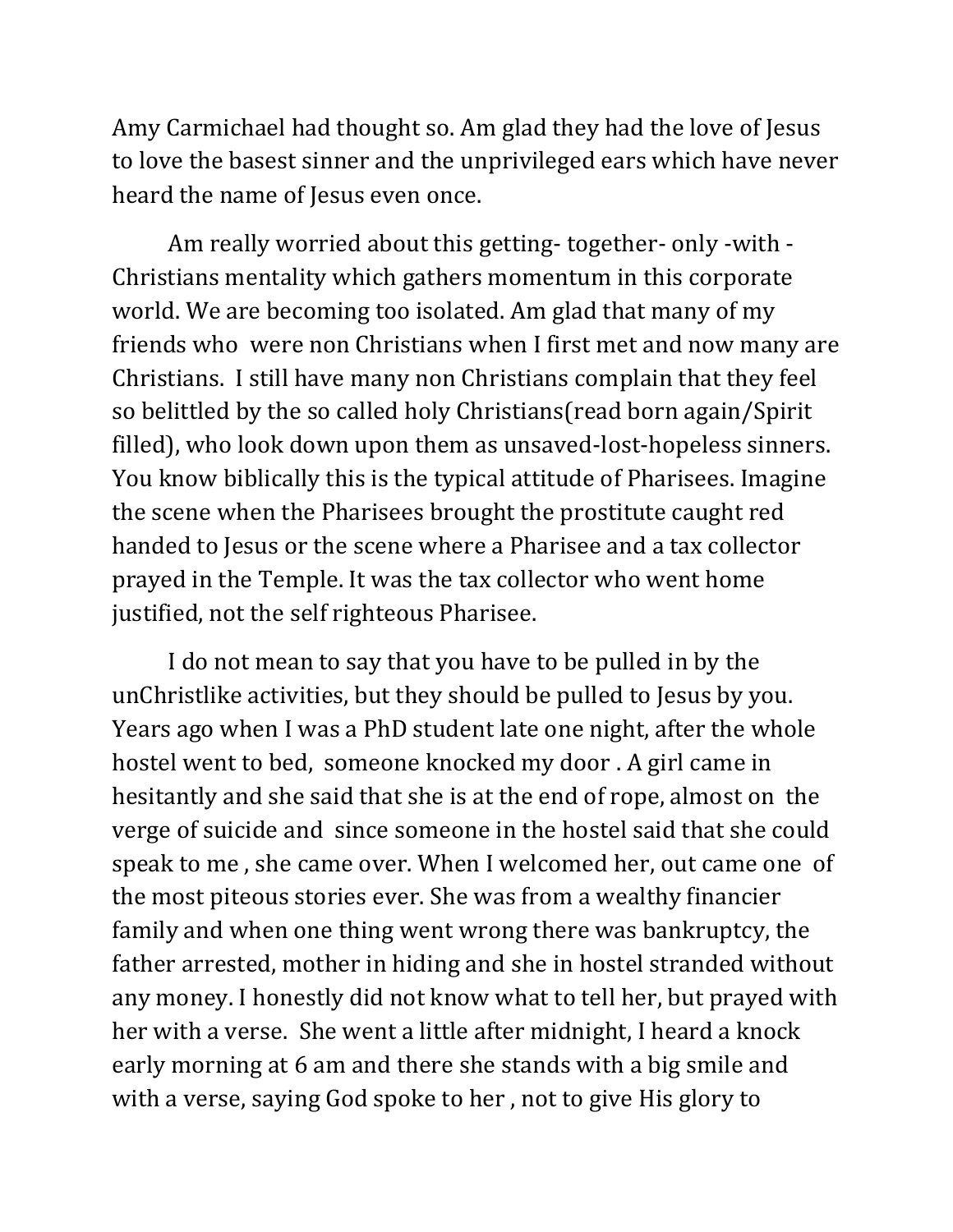Amy Carmichael had thought so. Am glad they had the love of Jesus to love the basest sinner and the unprivileged ears which have never heard the name of Jesus even once.

Am really worried about this getting- together- only -with - Christians mentality which gathers momentum in this corporate world. We are becoming too isolated. Am glad that many of my friends who were non Christians when I first met and now many are Christians. I still have many non Christians complain that they feel so belittled by the so called holy Christians(read born again/Spirit filled), who look down upon them as unsaved-lost-hopeless sinners. You know biblically this is the typical attitude of Pharisees. Imagine the scene when the Pharisees brought the prostitute caught red handed to Jesus or the scene where a Pharisee and a tax collector prayed in the Temple. It was the tax collector who went home justified, not the self righteous Pharisee.

I do not mean to say that you have to be pulled in by the unChristlike activities, but they should be pulled to Jesus by you. Years ago when I was a PhD student late one night, after the whole hostel went to bed, someone knocked my door . A girl came in hesitantly and she said that she is at the end of rope, almost on the verge of suicide and since someone in the hostel said that she could speak to me , she came over. When I welcomed her, out came one of the most piteous stories ever. She was from a wealthy financier family and when one thing went wrong there was bankruptcy, the father arrested, mother in hiding and she in hostel stranded without any money. I honestly did not know what to tell her, but prayed with her with a verse. She went a little after midnight, I heard a knock early morning at 6 am and there she stands with a big smile and with a verse, saying God spoke to her , not to give His glory to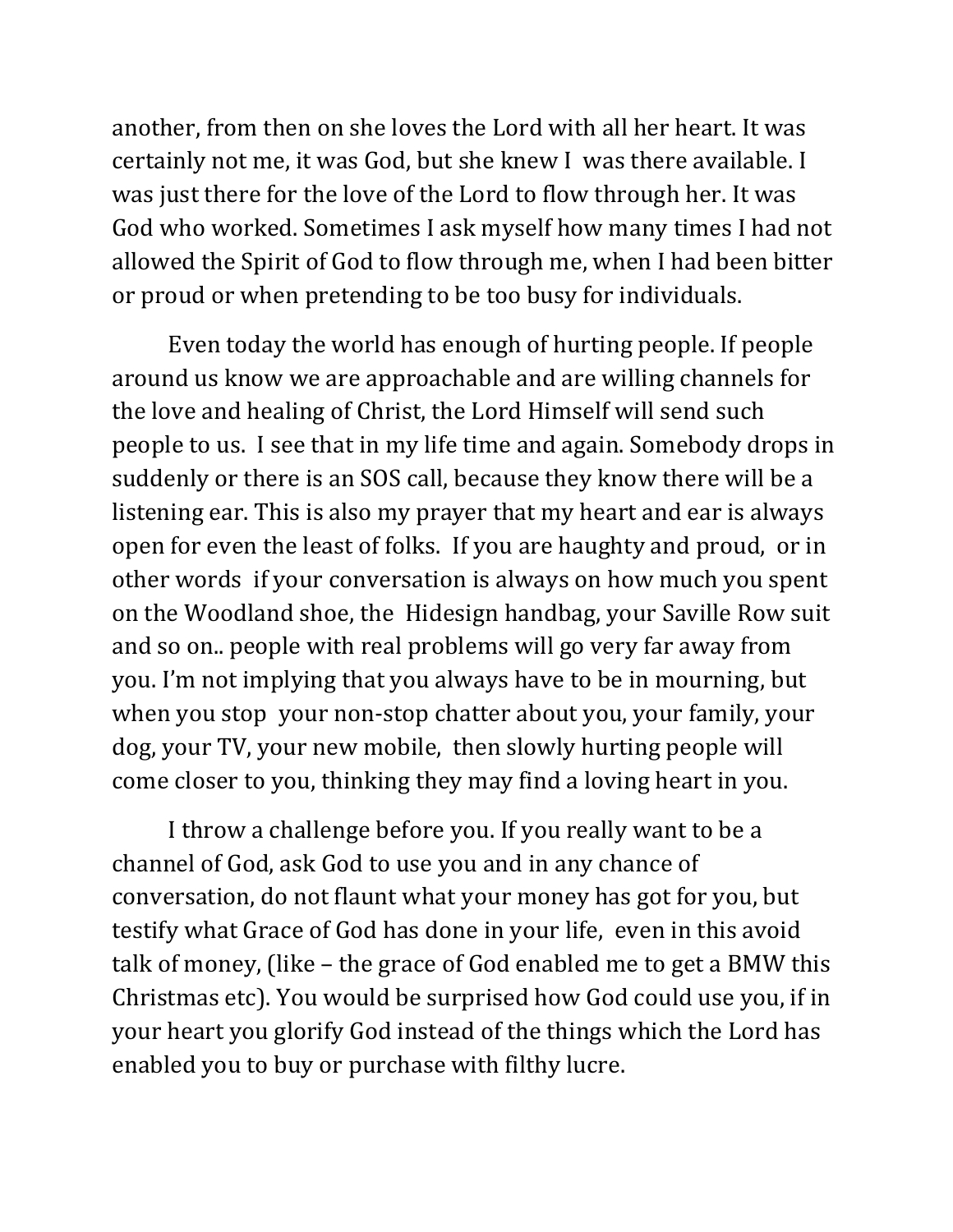another, from then on she loves the Lord with all her heart. It was certainly not me, it was God, but she knew I was there available. I was just there for the love of the Lord to flow through her. It was God who worked. Sometimes I ask myself how many times I had not allowed the Spirit of God to flow through me, when I had been bitter or proud or when pretending to be too busy for individuals.

Even today the world has enough of hurting people. If people around us know we are approachable and are willing channels for the love and healing of Christ, the Lord Himself will send such people to us. I see that in my life time and again. Somebody drops in suddenly or there is an SOS call, because they know there will be a listening ear. This is also my prayer that my heart and ear is always open for even the least of folks. If you are haughty and proud, or in other words if your conversation is always on how much you spent on the Woodland shoe, the Hidesign handbag, your Saville Row suit and so on.. people with real problems will go very far away from you. I'm not implying that you always have to be in mourning, but when you stop your non-stop chatter about you, your family, your dog, your TV, your new mobile, then slowly hurting people will come closer to you, thinking they may find a loving heart in you.

I throw a challenge before you. If you really want to be a channel of God, ask God to use you and in any chance of conversation, do not flaunt what your money has got for you, but testify what Grace of God has done in your life, even in this avoid talk of money, (like – the grace of God enabled me to get a BMW this Christmas etc). You would be surprised how God could use you, if in your heart you glorify God instead of the things which the Lord has enabled you to buy or purchase with filthy lucre.